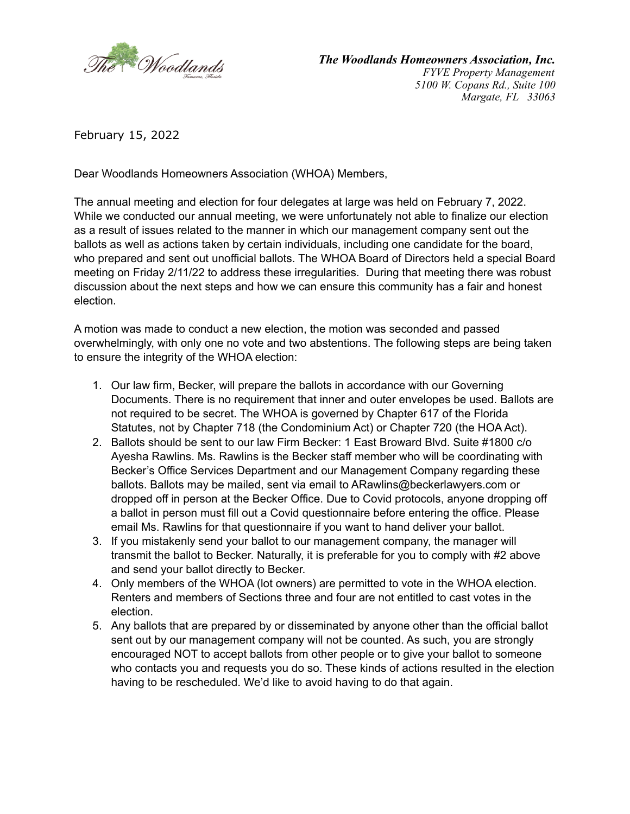

*The Woodlands Homeowners Association, Inc. FYVE Property Management 5100 W. Copans Rd., Suite 100 Margate, FL 33063*

February 15, 2022

Dear Woodlands Homeowners Association (WHOA) Members,

The annual meeting and election for four delegates at large was held on February 7, 2022. While we conducted our annual meeting, we were unfortunately not able to finalize our election as a result of issues related to the manner in which our management company sent out the ballots as well as actions taken by certain individuals, including one candidate for the board, who prepared and sent out unofficial ballots. The WHOA Board of Directors held a special Board meeting on Friday 2/11/22 to address these irregularities. During that meeting there was robust discussion about the next steps and how we can ensure this community has a fair and honest election.

A motion was made to conduct a new election, the motion was seconded and passed overwhelmingly, with only one no vote and two abstentions. The following steps are being taken to ensure the integrity of the WHOA election:

- 1. Our law firm, Becker, will prepare the ballots in accordance with our Governing Documents. There is no requirement that inner and outer envelopes be used. Ballots are not required to be secret. The WHOA is governed by Chapter 617 of the Florida Statutes, not by Chapter 718 (the Condominium Act) or Chapter 720 (the HOA Act).
- 2. Ballots should be sent to our law Firm Becker: 1 East Broward Blvd. Suite #1800 c/o Ayesha Rawlins. Ms. Rawlins is the Becker staff member who will be coordinating with Becker's Office Services Department and our Management Company regarding these ballots. Ballots may be mailed, sent via email to ARawlins@beckerlawyers.com or dropped off in person at the Becker Office. Due to Covid protocols, anyone dropping off a ballot in person must fill out a Covid questionnaire before entering the office. Please email Ms. Rawlins for that questionnaire if you want to hand deliver your ballot.
- 3. If you mistakenly send your ballot to our management company, the manager will transmit the ballot to Becker. Naturally, it is preferable for you to comply with #2 above and send your ballot directly to Becker.
- 4. Only members of the WHOA (lot owners) are permitted to vote in the WHOA election. Renters and members of Sections three and four are not entitled to cast votes in the election.
- 5. Any ballots that are prepared by or disseminated by anyone other than the official ballot sent out by our management company will not be counted. As such, you are strongly encouraged NOT to accept ballots from other people or to give your ballot to someone who contacts you and requests you do so. These kinds of actions resulted in the election having to be rescheduled. We'd like to avoid having to do that again.